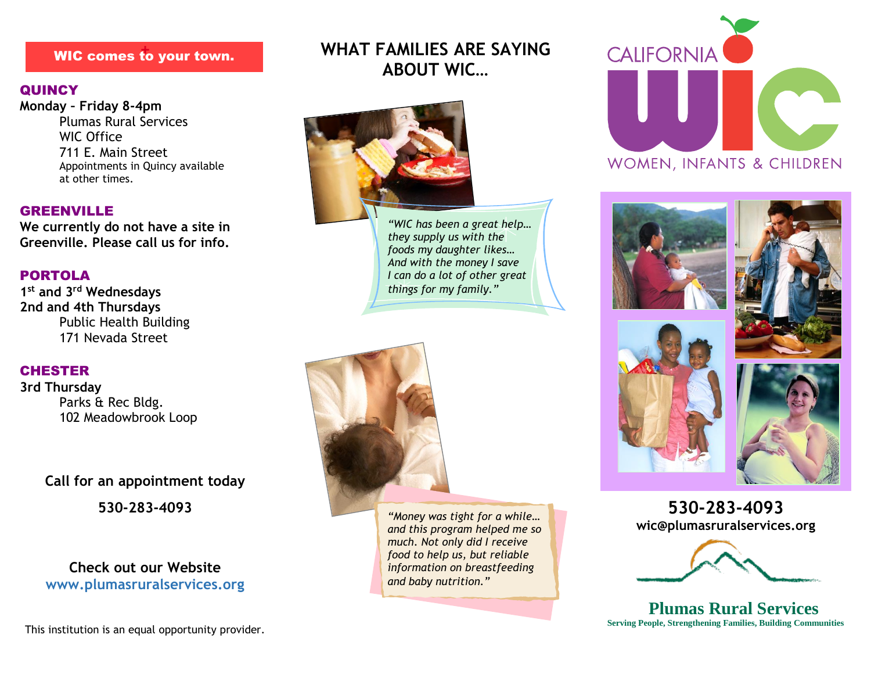# **+** WIC comes to your town.

#### **QUINCY**

**Monday – Friday 8-4pm** Plumas Rural Services WIC Office 711 E. Main Street Appointments in Quincy available at other times.

#### GREENVILLE

**We currently do not have a site in Greenville. Please call us for info.**

#### PORTOLA

**1 st and 3rd Wednesdays 2nd and 4th Thursdays** Public Health Building 171 Nevada Street

#### **CHESTER**

**3rd Thursday** Parks & Rec Bldg. 102 Meadowbrook Loop

> **Call for an appointment today 530-283-4093**

## **Check out our Website www.plumasruralservices.org**

This institution is an equal opportunity provider.

# **WHAT FAMILIES ARE SAYING ABOUT WIC…**



*"WIC has been a great help… they supply us with the foods my daughter likes… And with the money I save I can do a lot of other great things for my family."*



*"Money was tight for a while… and this program helped me so much. Not only did I receive food to help us, but reliable information on breastfeeding and baby nutrition."*











**530-283-4093 wic@plumasruralservices.org**



**Plumas Rural Services Serving People, Strengthening Families, Building Communities**